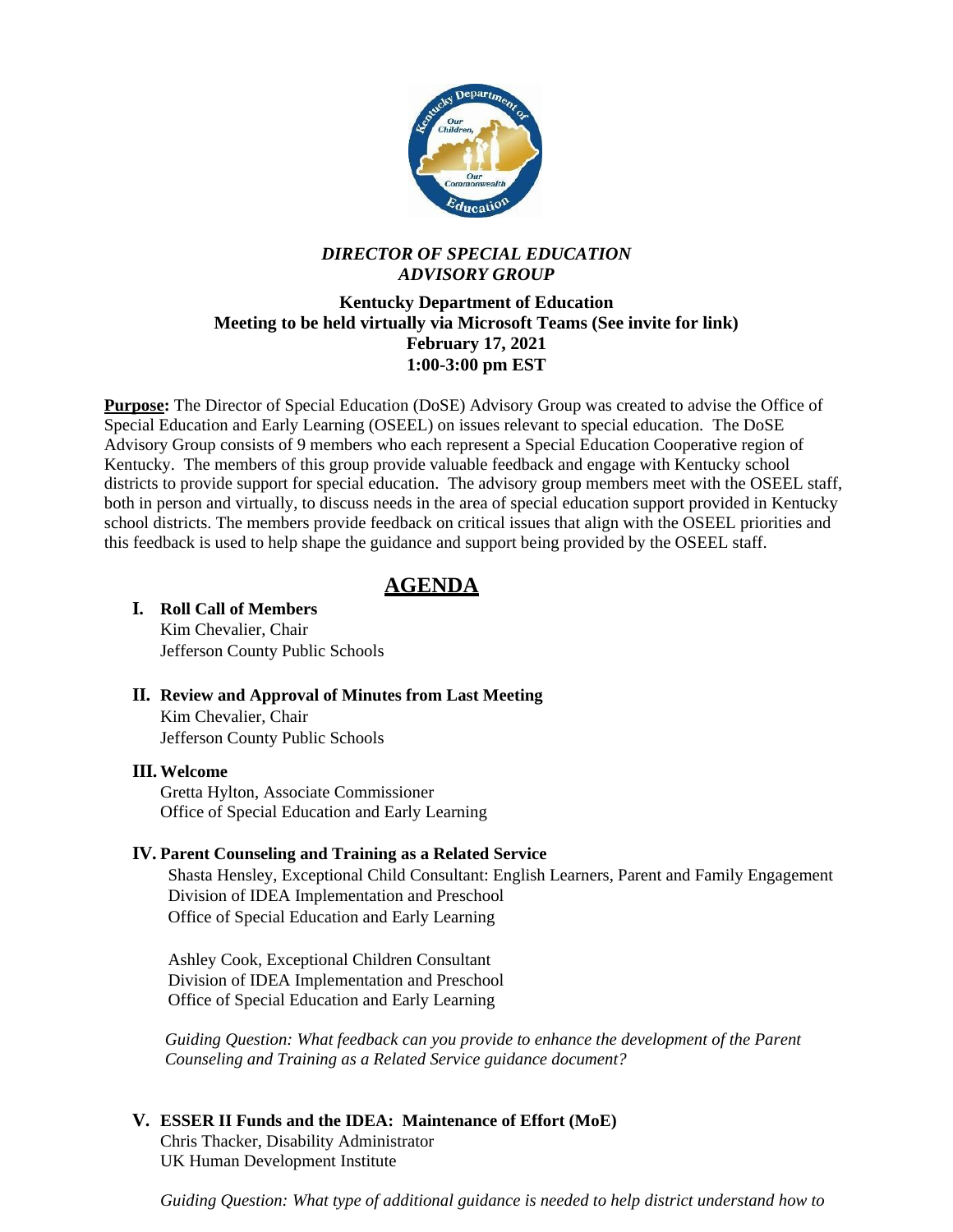

## *DIRECTOR OF SPECIAL EDUCATION ADVISORY GROUP*

### **Kentucky Department of Education Meeting to be held virtually via Microsoft Teams (See invite for link) February 17, 2021 1:00-3:00 pm EST**

**Purpose:** The Director of Special Education (DoSE) Advisory Group was created to advise the Office of Special Education and Early Learning (OSEEL) on issues relevant to special education. The DoSE Advisory Group consists of 9 members who each represent a Special Education Cooperative region of Kentucky. The members of this group provide valuable feedback and engage with Kentucky school districts to provide support for special education. The advisory group members meet with the OSEEL staff, both in person and virtually, to discuss needs in the area of special education support provided in Kentucky school districts. The members provide feedback on critical issues that align with the OSEEL priorities and this feedback is used to help shape the guidance and support being provided by the OSEEL staff.

# **AGENDA**

#### **I. Roll Call of Members** Kim Chevalier, Chair

Jefferson County Public Schools

**II. Review and Approval of Minutes from Last Meeting** Kim Chevalier, Chair Jefferson County Public Schools

#### **III. Welcome**

Gretta Hylton, Associate Commissioner Office of Special Education and Early Learning

### **IV. Parent Counseling and Training as a Related Service**

Shasta Hensley, Exceptional Child Consultant: English Learners, Parent and Family Engagement Division of IDEA Implementation and Preschool Office of Special Education and Early Learning

Ashley Cook, Exceptional Children Consultant Division of IDEA Implementation and Preschool Office of Special Education and Early Learning

*Guiding Question: What feedback can you provide to enhance the development of the Parent Counseling and Training as a Related Service guidance document?*

### **V. ESSER II Funds and the IDEA: Maintenance of Effort (MoE)**

Chris Thacker, Disability Administrator UK Human Development Institute

*Guiding Question: What type of additional guidance is needed to help district understand how to*